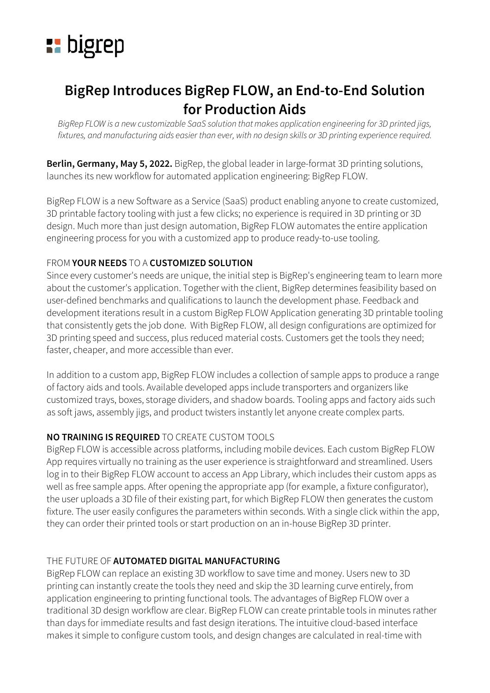

# **BigRep Introduces BigRep FLOW, an End-to-End Solution for Production Aids**

BigRep FLOW is a new customizable SaaS solution that makes application engineering for 3D printed jigs, fixtures, and manufacturing aids easier than ever, with no design skills or 3D printing experience required.

**Berlin, Germany, May 5, 2022.** BigRep, the global leader in large-format 3D printing solutions, launches its new workflow for automated application engineering: BigRep FLOW.

BigRep FLOW is a new Software as a Service (SaaS) product enabling anyone to create customized, 3D printable factory tooling with just a few clicks; no experience is required in 3D printing or 3D design. Much more than just design automation, BigRep FLOW automates the entire application engineering process for you with a customized app to produce ready-to-use tooling.

## FROM **YOUR NEEDS** TO A **CUSTOMIZED SOLUTION**

Since every customer's needs are unique, the initial step is BigRep's engineering team to learn more about the customer's application. Together with the client, BigRep determines feasibility based on user-defined benchmarks and qualifications to launch the development phase. Feedback and development iterations result in a custom BigRep FLOW Application generating 3D printable tooling that consistently gets the job done. With BigRep FLOW, all design configurations are optimized for 3D printing speed and success, plus reduced material costs. Customers get the tools they need; faster, cheaper, and more accessible than ever.

In addition to a custom app, BigRep FLOW includes a collection of sample apps to produce a range of factory aids and tools. Available developed apps include transporters and organizers like customized trays, boxes, storage dividers, and shadow boards. Tooling apps and factory aids such as soft jaws, assembly jigs, and product twisters instantly let anyone create complex parts.

## **NO TRAINING IS REQUIRED** TO CREATE CUSTOM TOOLS

BigRep FLOW is accessible across platforms, including mobile devices. Each custom BigRep FLOW App requires virtually no training as the user experience is straightforward and streamlined. Users log in to their BigRep FLOW account to access an App Library, which includes their custom apps as well as free sample apps. After opening the appropriate app (for example, a fixture configurator), the user uploads a 3D file of their existing part, for which BigRep FLOW then generates the custom fixture. The user easily configures the parameters within seconds. With a single click within the app, they can order their printed tools or start production on an in-house BigRep 3D printer.

## THE FUTURE OF **AUTOMATED DIGITAL MANUFACTURING**

BigRep FLOW can replace an existing 3D workflow to save time and money. Users new to 3D printing can instantly create the tools they need and skip the 3D learning curve entirely, from application engineering to printing functional tools. The advantages of BigRep FLOW over a traditional 3D design workflow are clear. BigRep FLOW can create printable tools in minutes rather than days for immediate results and fast design iterations. The intuitive cloud-based interface makes it simple to configure custom tools, and design changes are calculated in real-time with